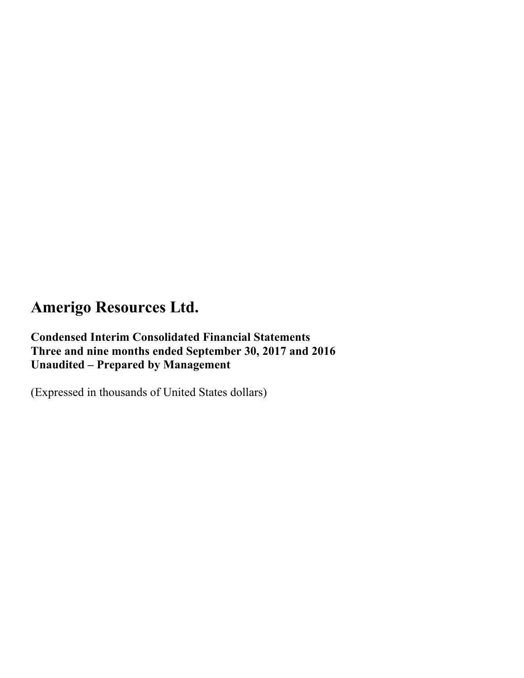**Condensed Interim Consolidated Financial Statements Three and nine months ended September 30, 2017 and 2016 Unaudited – Prepared by Management** 

(Expressed in thousands of United States dollars)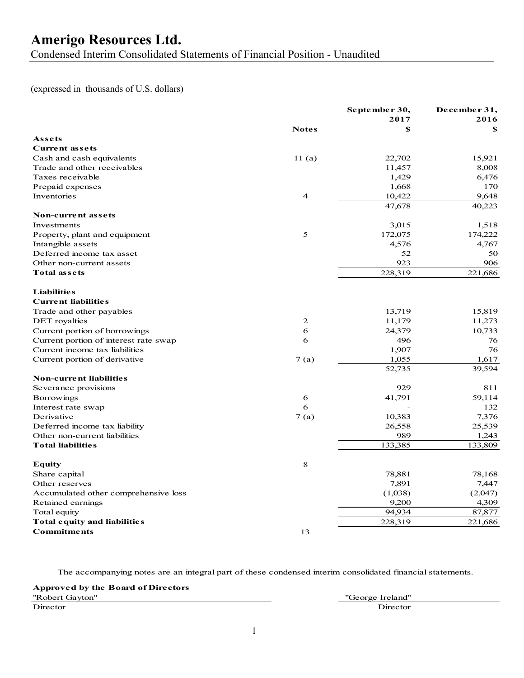Condensed Interim Consolidated Statements of Financial Position - Unaudited

### (expressed in thousands of U.S. dollars)

|                                              |              | September 30,    | December 31,    |
|----------------------------------------------|--------------|------------------|-----------------|
|                                              |              | 2017             | 2016            |
|                                              | <b>Notes</b> | \$               | S               |
| Assets                                       |              |                  |                 |
| <b>Current assets</b>                        |              |                  |                 |
| Cash and cash equivalents                    | 11(a)        | 22,702           | 15,921          |
| Trade and other receivables                  |              | 11,457           | 8,008           |
| Taxes receivable                             |              | 1,429            | 6,476           |
| Prepaid expenses                             |              | 1,668            | 170             |
| Inventories                                  | 4            | 10,422           | 9,648           |
|                                              |              | 47,678           | 40,223          |
| Non-current assets                           |              |                  |                 |
| Investments                                  |              | 3,015            | 1,518           |
| Property, plant and equipment                | 5            | 172,075          | 174,222         |
| Intangible assets                            |              | 4,576            | 4,767           |
| Deferred income tax asset                    |              | 52               | 50              |
| Other non-current assets                     |              | 923              | 906             |
| <b>Total assets</b>                          |              | 228,319          | 221,686         |
| <b>Liabilities</b>                           |              |                  |                 |
| <b>Current liabilities</b>                   |              |                  |                 |
| Trade and other payables                     |              | 13,719           | 15,819          |
| DET royalties                                | 2            | 11,179           | 11,273          |
| Current portion of borrowings                | 6            | 24,379           | 10,733          |
| Current portion of interest rate swap        | 6            | 496              | 76              |
| Current income tax liabilities               |              | 1,907            | 76              |
| Current portion of derivative                | 7(a)         | 1,055            | 1,617           |
|                                              |              | 52,735           | 39,594          |
| <b>Non-current liabilities</b>               |              |                  |                 |
| Severance provisions                         |              | 929              | 811             |
| <b>Borrowings</b>                            | 6            | 41,791           | 59,114          |
| Interest rate swap                           | 6            |                  | 132             |
| Derivative                                   | 7(a)         | 10,383           | 7,376           |
| Deferred income tax liability                |              | 26,558           | 25,539          |
| Other non-current liabilities                |              | 989              | 1,243           |
| <b>Total liabilities</b>                     |              | 133,385          | 133,809         |
| Equity                                       | 8            |                  |                 |
|                                              |              | 78,881           | 78,168          |
| Share capital<br>Other reserves              |              | 7,891            | 7,447           |
|                                              |              |                  |                 |
| Accumulated other comprehensive loss         |              | (1,038)<br>9,200 | (2,047)         |
| Retained earnings                            |              | 94,934           | 4,309<br>87,877 |
| Total equity<br>Total equity and liabilities |              |                  | 221,686         |
|                                              |              | 228,319          |                 |
| <b>Commitments</b>                           | 13           |                  |                 |

| Approved by the Board of Directors |                  |
|------------------------------------|------------------|
| "Robert Gavton"                    | "George Ireland" |
| Director                           | Director         |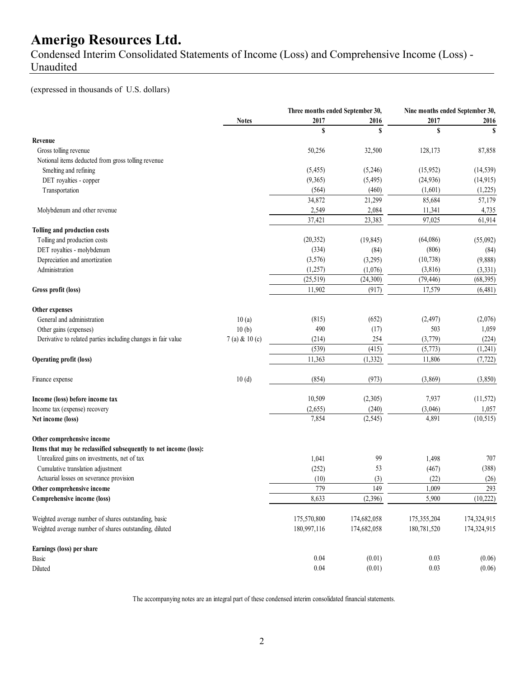Condensed Interim Consolidated Statements of Income (Loss) and Comprehensive Income (Loss) - Unaudited

(expressed in thousands of U.S. dollars)

|                                                                   |                 | Three months ended September 30, |             | Nine months ended September 30, |             |
|-------------------------------------------------------------------|-----------------|----------------------------------|-------------|---------------------------------|-------------|
|                                                                   | <b>Notes</b>    | 2017                             | 2016        | 2017                            | 2016        |
|                                                                   |                 | S                                | \$          | \$                              | S           |
| Revenue                                                           |                 |                                  |             |                                 |             |
| Gross tolling revenue                                             |                 | 50,256                           | 32,500      | 128,173                         | 87,858      |
| Notional items deducted from gross tolling revenue                |                 |                                  |             |                                 |             |
| Smelting and refining                                             |                 | (5, 455)                         | (5,246)     | (15,952)                        | (14, 539)   |
| DET royalties - copper                                            |                 | (9,365)                          | (5, 495)    | (24, 936)                       | (14, 915)   |
| Transportation                                                    |                 | (564)                            | (460)       | (1,601)                         | (1,225)     |
|                                                                   |                 | 34,872                           | 21,299      | 85,684                          | 57,179      |
| Molybdenum and other revenue                                      |                 | 2,549                            | 2,084       | 11,341                          | 4,735       |
|                                                                   |                 | 37,421                           | 23,383      | 97,025                          | 61,914      |
| Tolling and production costs                                      |                 |                                  |             |                                 |             |
| Tolling and production costs                                      |                 | (20, 352)                        | (19, 845)   | (64,086)                        | (55,092)    |
| DET royalties - molybdenum                                        |                 | (334)                            | (84)        | (806)                           | (84)        |
| Depreciation and amortization                                     |                 | (3,576)                          | (3,295)     | (10, 738)                       | (9,888)     |
| Administration                                                    |                 | (1,257)                          | (1,076)     | (3, 816)                        | (3,331)     |
|                                                                   |                 | (25, 519)                        | (24, 300)   | (79, 446)                       | (68, 395)   |
| Gross profit (loss)                                               |                 | 11,902                           | (917)       | 17,579                          | (6,481)     |
| Other expenses                                                    |                 |                                  |             |                                 |             |
| General and administration                                        | 10(a)           | (815)                            | (652)       | (2, 497)                        | (2,076)     |
| Other gains (expenses)                                            | 10(b)           | 490                              | (17)        | 503                             | 1,059       |
| Derivative to related parties including changes in fair value     | $7(a)$ & 10 (c) | (214)                            | 254         | (3,779)                         | (224)       |
|                                                                   |                 | (539)                            | (415)       | (5,773)                         | (1,241)     |
| <b>Operating profit (loss)</b>                                    |                 | 11,363                           | (1, 332)    | 11,806                          | (7, 722)    |
| Finance expense                                                   | 10(d)           | (854)                            | (973)       | (3,869)                         | (3,850)     |
|                                                                   |                 |                                  |             |                                 |             |
| Income (loss) before income tax                                   |                 | 10,509                           | (2,305)     | 7,937                           | (11, 572)   |
| Income tax (expense) recovery                                     |                 | (2,655)                          | (240)       | (3,046)                         | 1,057       |
| Net income (loss)                                                 |                 | 7,854                            | (2, 545)    | 4,891                           | (10, 515)   |
| Other comprehensive income                                        |                 |                                  |             |                                 |             |
| Items that may be reclassified subsequently to net income (loss): |                 |                                  |             |                                 |             |
| Unrealized gains on investments, net of tax                       |                 | 1,041                            | 99          | 1,498                           | 707         |
| Cumulative translation adjustment                                 |                 | (252)                            | 53          | (467)                           | (388)       |
| Actuarial losses on severance provision                           |                 | (10)                             | (3)         | (22)                            | (26)        |
| Other comprehensive income                                        |                 | 779                              | 149         | 1,009                           | 293         |
| Comprehensive income (loss)                                       |                 | 8,633                            | (2,396)     | 5,900                           | (10, 222)   |
| Weighted average number of shares outstanding, basic              |                 | 175,570,800                      | 174,682,058 | 175,355,204                     | 174,324,915 |
| Weighted average number of shares outstanding, diluted            |                 | 180,997,116                      | 174,682,058 | 180,781,520                     | 174,324,915 |
| Earnings (loss) per share                                         |                 |                                  |             |                                 |             |
| Basic                                                             |                 | 0.04                             | (0.01)      | 0.03                            | (0.06)      |
| Diluted                                                           |                 | 0.04                             | (0.01)      | 0.03                            | (0.06)      |
|                                                                   |                 |                                  |             |                                 |             |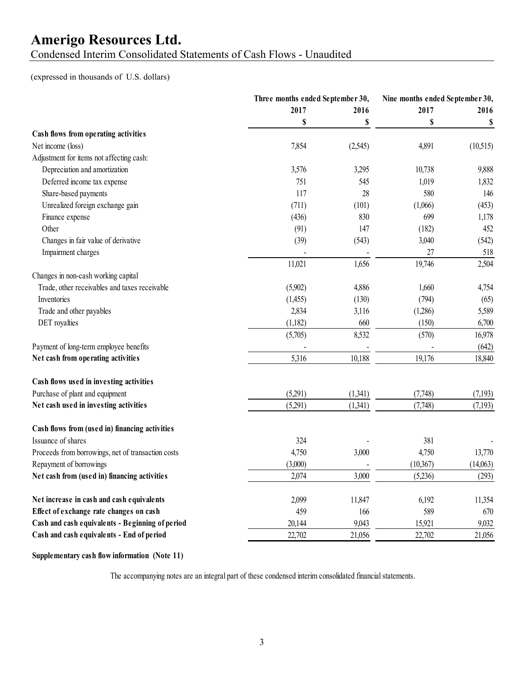Condensed Interim Consolidated Statements of Cash Flows - Unaudited

(expressed in thousands of U.S. dollars)

| 2017<br>2016<br>2017<br>2016<br>\$<br>\$<br>\$<br>\$<br>Cash flows from operating activities<br>Net income (loss)<br>4,891<br>(10,515)<br>7,854<br>(2,545)<br>Adjustment for items not affecting cash:<br>Depreciation and amortization<br>3,576<br>3,295<br>10,738<br>9,888<br>Deferred income tax expense<br>751<br>545<br>1,019<br>1,832<br>Share-based payments<br>117<br>28<br>580<br>146<br>Unrealized foreign exchange gain<br>(711)<br>(101)<br>(1,066)<br>699<br>Finance expense<br>(436)<br>830<br>1,178<br>Other<br>452<br>(91)<br>147<br>(182)<br>Changes in fair value of derivative<br>(39)<br>(543)<br>3,040<br>(542)<br>Impairment charges<br>27<br>518<br>÷,<br>1,656<br>19,746<br>2,504<br>11,021<br>Changes in non-cash working capital<br>Trade, other receivables and taxes receivable<br>(5,902)<br>4,886<br>1,660<br>4,754<br>Inventories<br>(794)<br>(1,455)<br>(130)<br>(65)<br>Trade and other payables<br>2,834<br>3,116<br>(1,286)<br>5,589<br>DET royalties<br>(1,182)<br>660<br>(150)<br>6,700<br>8,532<br>(5,705)<br>(570)<br>16,978<br>Payment of long-term employee benefits<br>(642)<br>Net cash from operating activities<br>10,188<br>5,316<br>19,176<br>18,840<br>Cash flows used in investing activities<br>Purchase of plant and equipment<br>(5,291)<br>(1,341)<br>(7,748)<br>(7,193)<br>Net cash used in investing activities<br>(7,748)<br>(5,291)<br>(1,341)<br>(7,193)<br>Cash flows from (used in) financing activities<br>Issuance of shares<br>381<br>324<br>Proceeds from borrowings, net of transaction costs<br>4,750<br>3,000<br>4,750<br>13,770<br>Repayment of borrowings<br>(3,000)<br>(10,367)<br>(14,063)<br>3,000<br>Net cash from (used in) financing activities<br>2,074<br>(5,236)<br>(293)<br>Net increase in cash and cash equivalents<br>2,099<br>11,847<br>6,192<br>11,354<br>Effect of exchange rate changes on cash<br>589<br>459<br>166<br>670<br>Cash and cash equivalents - Beginning of period<br>9,043<br>15,921<br>9,032<br>20,144<br>Cash and cash equivalents - End of period<br>22,702<br>22,702<br>21,056<br>21,056 |  | Three months ended September 30, |  | Nine months ended September 30, |
|-------------------------------------------------------------------------------------------------------------------------------------------------------------------------------------------------------------------------------------------------------------------------------------------------------------------------------------------------------------------------------------------------------------------------------------------------------------------------------------------------------------------------------------------------------------------------------------------------------------------------------------------------------------------------------------------------------------------------------------------------------------------------------------------------------------------------------------------------------------------------------------------------------------------------------------------------------------------------------------------------------------------------------------------------------------------------------------------------------------------------------------------------------------------------------------------------------------------------------------------------------------------------------------------------------------------------------------------------------------------------------------------------------------------------------------------------------------------------------------------------------------------------------------------------------------------------------------------------------------------------------------------------------------------------------------------------------------------------------------------------------------------------------------------------------------------------------------------------------------------------------------------------------------------------------------------------------------------------------------------------------------------------------------------------------------------------------------------------|--|----------------------------------|--|---------------------------------|
|                                                                                                                                                                                                                                                                                                                                                                                                                                                                                                                                                                                                                                                                                                                                                                                                                                                                                                                                                                                                                                                                                                                                                                                                                                                                                                                                                                                                                                                                                                                                                                                                                                                                                                                                                                                                                                                                                                                                                                                                                                                                                                 |  |                                  |  |                                 |
|                                                                                                                                                                                                                                                                                                                                                                                                                                                                                                                                                                                                                                                                                                                                                                                                                                                                                                                                                                                                                                                                                                                                                                                                                                                                                                                                                                                                                                                                                                                                                                                                                                                                                                                                                                                                                                                                                                                                                                                                                                                                                                 |  |                                  |  |                                 |
|                                                                                                                                                                                                                                                                                                                                                                                                                                                                                                                                                                                                                                                                                                                                                                                                                                                                                                                                                                                                                                                                                                                                                                                                                                                                                                                                                                                                                                                                                                                                                                                                                                                                                                                                                                                                                                                                                                                                                                                                                                                                                                 |  |                                  |  |                                 |
|                                                                                                                                                                                                                                                                                                                                                                                                                                                                                                                                                                                                                                                                                                                                                                                                                                                                                                                                                                                                                                                                                                                                                                                                                                                                                                                                                                                                                                                                                                                                                                                                                                                                                                                                                                                                                                                                                                                                                                                                                                                                                                 |  |                                  |  |                                 |
|                                                                                                                                                                                                                                                                                                                                                                                                                                                                                                                                                                                                                                                                                                                                                                                                                                                                                                                                                                                                                                                                                                                                                                                                                                                                                                                                                                                                                                                                                                                                                                                                                                                                                                                                                                                                                                                                                                                                                                                                                                                                                                 |  |                                  |  |                                 |
|                                                                                                                                                                                                                                                                                                                                                                                                                                                                                                                                                                                                                                                                                                                                                                                                                                                                                                                                                                                                                                                                                                                                                                                                                                                                                                                                                                                                                                                                                                                                                                                                                                                                                                                                                                                                                                                                                                                                                                                                                                                                                                 |  |                                  |  |                                 |
|                                                                                                                                                                                                                                                                                                                                                                                                                                                                                                                                                                                                                                                                                                                                                                                                                                                                                                                                                                                                                                                                                                                                                                                                                                                                                                                                                                                                                                                                                                                                                                                                                                                                                                                                                                                                                                                                                                                                                                                                                                                                                                 |  |                                  |  |                                 |
|                                                                                                                                                                                                                                                                                                                                                                                                                                                                                                                                                                                                                                                                                                                                                                                                                                                                                                                                                                                                                                                                                                                                                                                                                                                                                                                                                                                                                                                                                                                                                                                                                                                                                                                                                                                                                                                                                                                                                                                                                                                                                                 |  |                                  |  |                                 |
|                                                                                                                                                                                                                                                                                                                                                                                                                                                                                                                                                                                                                                                                                                                                                                                                                                                                                                                                                                                                                                                                                                                                                                                                                                                                                                                                                                                                                                                                                                                                                                                                                                                                                                                                                                                                                                                                                                                                                                                                                                                                                                 |  |                                  |  | (453)                           |
|                                                                                                                                                                                                                                                                                                                                                                                                                                                                                                                                                                                                                                                                                                                                                                                                                                                                                                                                                                                                                                                                                                                                                                                                                                                                                                                                                                                                                                                                                                                                                                                                                                                                                                                                                                                                                                                                                                                                                                                                                                                                                                 |  |                                  |  |                                 |
|                                                                                                                                                                                                                                                                                                                                                                                                                                                                                                                                                                                                                                                                                                                                                                                                                                                                                                                                                                                                                                                                                                                                                                                                                                                                                                                                                                                                                                                                                                                                                                                                                                                                                                                                                                                                                                                                                                                                                                                                                                                                                                 |  |                                  |  |                                 |
|                                                                                                                                                                                                                                                                                                                                                                                                                                                                                                                                                                                                                                                                                                                                                                                                                                                                                                                                                                                                                                                                                                                                                                                                                                                                                                                                                                                                                                                                                                                                                                                                                                                                                                                                                                                                                                                                                                                                                                                                                                                                                                 |  |                                  |  |                                 |
|                                                                                                                                                                                                                                                                                                                                                                                                                                                                                                                                                                                                                                                                                                                                                                                                                                                                                                                                                                                                                                                                                                                                                                                                                                                                                                                                                                                                                                                                                                                                                                                                                                                                                                                                                                                                                                                                                                                                                                                                                                                                                                 |  |                                  |  |                                 |
|                                                                                                                                                                                                                                                                                                                                                                                                                                                                                                                                                                                                                                                                                                                                                                                                                                                                                                                                                                                                                                                                                                                                                                                                                                                                                                                                                                                                                                                                                                                                                                                                                                                                                                                                                                                                                                                                                                                                                                                                                                                                                                 |  |                                  |  |                                 |
|                                                                                                                                                                                                                                                                                                                                                                                                                                                                                                                                                                                                                                                                                                                                                                                                                                                                                                                                                                                                                                                                                                                                                                                                                                                                                                                                                                                                                                                                                                                                                                                                                                                                                                                                                                                                                                                                                                                                                                                                                                                                                                 |  |                                  |  |                                 |
|                                                                                                                                                                                                                                                                                                                                                                                                                                                                                                                                                                                                                                                                                                                                                                                                                                                                                                                                                                                                                                                                                                                                                                                                                                                                                                                                                                                                                                                                                                                                                                                                                                                                                                                                                                                                                                                                                                                                                                                                                                                                                                 |  |                                  |  |                                 |
|                                                                                                                                                                                                                                                                                                                                                                                                                                                                                                                                                                                                                                                                                                                                                                                                                                                                                                                                                                                                                                                                                                                                                                                                                                                                                                                                                                                                                                                                                                                                                                                                                                                                                                                                                                                                                                                                                                                                                                                                                                                                                                 |  |                                  |  |                                 |
|                                                                                                                                                                                                                                                                                                                                                                                                                                                                                                                                                                                                                                                                                                                                                                                                                                                                                                                                                                                                                                                                                                                                                                                                                                                                                                                                                                                                                                                                                                                                                                                                                                                                                                                                                                                                                                                                                                                                                                                                                                                                                                 |  |                                  |  |                                 |
|                                                                                                                                                                                                                                                                                                                                                                                                                                                                                                                                                                                                                                                                                                                                                                                                                                                                                                                                                                                                                                                                                                                                                                                                                                                                                                                                                                                                                                                                                                                                                                                                                                                                                                                                                                                                                                                                                                                                                                                                                                                                                                 |  |                                  |  |                                 |
|                                                                                                                                                                                                                                                                                                                                                                                                                                                                                                                                                                                                                                                                                                                                                                                                                                                                                                                                                                                                                                                                                                                                                                                                                                                                                                                                                                                                                                                                                                                                                                                                                                                                                                                                                                                                                                                                                                                                                                                                                                                                                                 |  |                                  |  |                                 |
|                                                                                                                                                                                                                                                                                                                                                                                                                                                                                                                                                                                                                                                                                                                                                                                                                                                                                                                                                                                                                                                                                                                                                                                                                                                                                                                                                                                                                                                                                                                                                                                                                                                                                                                                                                                                                                                                                                                                                                                                                                                                                                 |  |                                  |  |                                 |
|                                                                                                                                                                                                                                                                                                                                                                                                                                                                                                                                                                                                                                                                                                                                                                                                                                                                                                                                                                                                                                                                                                                                                                                                                                                                                                                                                                                                                                                                                                                                                                                                                                                                                                                                                                                                                                                                                                                                                                                                                                                                                                 |  |                                  |  |                                 |
|                                                                                                                                                                                                                                                                                                                                                                                                                                                                                                                                                                                                                                                                                                                                                                                                                                                                                                                                                                                                                                                                                                                                                                                                                                                                                                                                                                                                                                                                                                                                                                                                                                                                                                                                                                                                                                                                                                                                                                                                                                                                                                 |  |                                  |  |                                 |
|                                                                                                                                                                                                                                                                                                                                                                                                                                                                                                                                                                                                                                                                                                                                                                                                                                                                                                                                                                                                                                                                                                                                                                                                                                                                                                                                                                                                                                                                                                                                                                                                                                                                                                                                                                                                                                                                                                                                                                                                                                                                                                 |  |                                  |  |                                 |
|                                                                                                                                                                                                                                                                                                                                                                                                                                                                                                                                                                                                                                                                                                                                                                                                                                                                                                                                                                                                                                                                                                                                                                                                                                                                                                                                                                                                                                                                                                                                                                                                                                                                                                                                                                                                                                                                                                                                                                                                                                                                                                 |  |                                  |  |                                 |
|                                                                                                                                                                                                                                                                                                                                                                                                                                                                                                                                                                                                                                                                                                                                                                                                                                                                                                                                                                                                                                                                                                                                                                                                                                                                                                                                                                                                                                                                                                                                                                                                                                                                                                                                                                                                                                                                                                                                                                                                                                                                                                 |  |                                  |  |                                 |
|                                                                                                                                                                                                                                                                                                                                                                                                                                                                                                                                                                                                                                                                                                                                                                                                                                                                                                                                                                                                                                                                                                                                                                                                                                                                                                                                                                                                                                                                                                                                                                                                                                                                                                                                                                                                                                                                                                                                                                                                                                                                                                 |  |                                  |  |                                 |
|                                                                                                                                                                                                                                                                                                                                                                                                                                                                                                                                                                                                                                                                                                                                                                                                                                                                                                                                                                                                                                                                                                                                                                                                                                                                                                                                                                                                                                                                                                                                                                                                                                                                                                                                                                                                                                                                                                                                                                                                                                                                                                 |  |                                  |  |                                 |
|                                                                                                                                                                                                                                                                                                                                                                                                                                                                                                                                                                                                                                                                                                                                                                                                                                                                                                                                                                                                                                                                                                                                                                                                                                                                                                                                                                                                                                                                                                                                                                                                                                                                                                                                                                                                                                                                                                                                                                                                                                                                                                 |  |                                  |  |                                 |
|                                                                                                                                                                                                                                                                                                                                                                                                                                                                                                                                                                                                                                                                                                                                                                                                                                                                                                                                                                                                                                                                                                                                                                                                                                                                                                                                                                                                                                                                                                                                                                                                                                                                                                                                                                                                                                                                                                                                                                                                                                                                                                 |  |                                  |  |                                 |
|                                                                                                                                                                                                                                                                                                                                                                                                                                                                                                                                                                                                                                                                                                                                                                                                                                                                                                                                                                                                                                                                                                                                                                                                                                                                                                                                                                                                                                                                                                                                                                                                                                                                                                                                                                                                                                                                                                                                                                                                                                                                                                 |  |                                  |  |                                 |
|                                                                                                                                                                                                                                                                                                                                                                                                                                                                                                                                                                                                                                                                                                                                                                                                                                                                                                                                                                                                                                                                                                                                                                                                                                                                                                                                                                                                                                                                                                                                                                                                                                                                                                                                                                                                                                                                                                                                                                                                                                                                                                 |  |                                  |  |                                 |
|                                                                                                                                                                                                                                                                                                                                                                                                                                                                                                                                                                                                                                                                                                                                                                                                                                                                                                                                                                                                                                                                                                                                                                                                                                                                                                                                                                                                                                                                                                                                                                                                                                                                                                                                                                                                                                                                                                                                                                                                                                                                                                 |  |                                  |  |                                 |
|                                                                                                                                                                                                                                                                                                                                                                                                                                                                                                                                                                                                                                                                                                                                                                                                                                                                                                                                                                                                                                                                                                                                                                                                                                                                                                                                                                                                                                                                                                                                                                                                                                                                                                                                                                                                                                                                                                                                                                                                                                                                                                 |  |                                  |  |                                 |

#### **Supplementary cash flow information (Note 11)**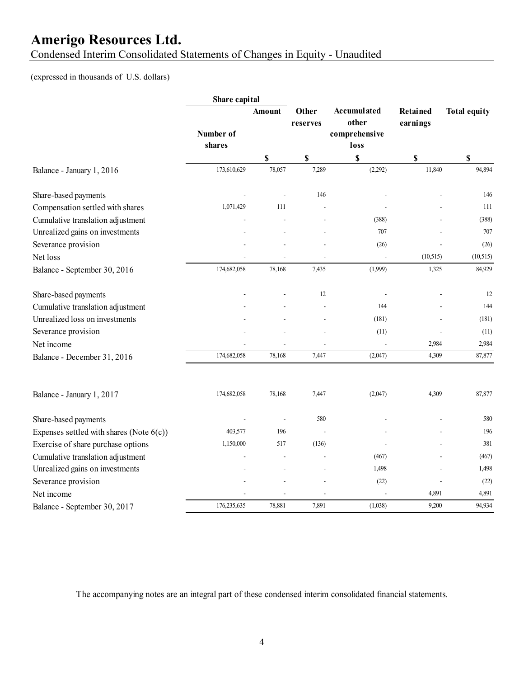Condensed Interim Consolidated Statements of Changes in Equity - Unaudited

### (expressed in thousands of U.S. dollars)

|                                             | Share capital       |        |                   |                                               |                             |                     |
|---------------------------------------------|---------------------|--------|-------------------|-----------------------------------------------|-----------------------------|---------------------|
|                                             | Number of<br>shares | Amount | Other<br>reserves | Accumulated<br>other<br>comprehensive<br>loss | <b>Retained</b><br>earnings | <b>Total equity</b> |
|                                             |                     | \$     | $\mathbb S$       | \$                                            | \$                          | \$                  |
| Balance - January 1, 2016                   | 173,610,629         | 78,057 | 7,289             | (2,292)                                       | 11,840                      | 94,894              |
| Share-based payments                        |                     |        | 146               |                                               |                             | 146                 |
| Compensation settled with shares            | 1,071,429           | 111    |                   |                                               |                             | 111                 |
| Cumulative translation adjustment           |                     |        |                   | (388)                                         |                             | (388)               |
| Unrealized gains on investments             |                     |        |                   | 707                                           |                             | 707                 |
| Severance provision                         |                     |        |                   | (26)                                          |                             | (26)                |
| Net loss                                    |                     |        |                   |                                               | (10, 515)                   | (10, 515)           |
| Balance - September 30, 2016                | 174,682,058         | 78,168 | 7,435             | (1,999)                                       | 1,325                       | 84,929              |
| Share-based payments                        |                     |        | 12                |                                               |                             | 12                  |
| Cumulative translation adjustment           |                     |        |                   | 144                                           |                             | 144                 |
| Unrealized loss on investments              |                     |        |                   | (181)                                         |                             | (181)               |
| Severance provision                         |                     |        |                   | (11)                                          |                             | (11)                |
| Net income                                  |                     |        |                   |                                               | 2,984                       | 2,984               |
| Balance - December 31, 2016                 | 174,682,058         | 78,168 | 7,447             | (2,047)                                       | 4,309                       | 87,877              |
| Balance - January 1, 2017                   | 174,682,058         | 78,168 | 7,447             | (2,047)                                       | 4,309                       | 87,877              |
| Share-based payments                        |                     |        | 580               |                                               |                             | 580                 |
| Expenses settled with shares (Note $6(c)$ ) | 403,577             | 196    |                   |                                               |                             | 196                 |
| Exercise of share purchase options          | 1,150,000           | 517    | (136)             |                                               |                             | 381                 |
| Cumulative translation adjustment           |                     |        |                   | (467)                                         |                             | (467)               |
| Unrealized gains on investments             |                     |        |                   | 1,498                                         |                             | 1,498               |
| Severance provision                         |                     |        |                   | (22)                                          |                             | (22)                |
| Net income                                  |                     |        |                   |                                               | 4,891                       | 4,891               |
| Balance - September 30, 2017                | 176,235,635         | 78,881 | 7,891             | (1,038)                                       | 9,200                       | 94,934              |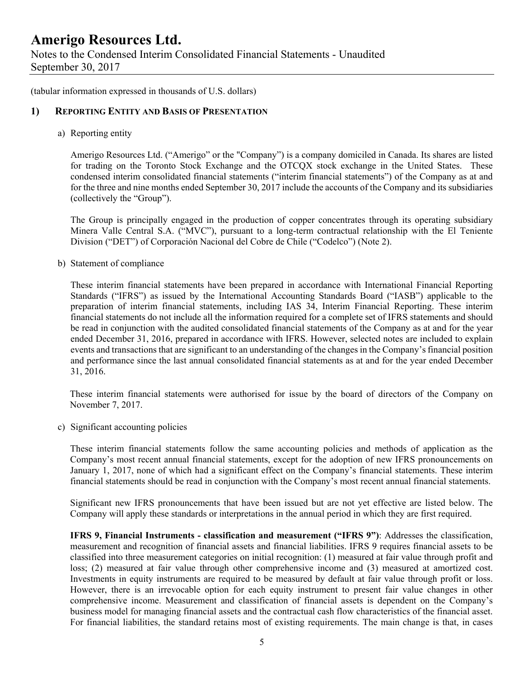Notes to the Condensed Interim Consolidated Financial Statements - Unaudited September 30, 2017

(tabular information expressed in thousands of U.S. dollars)

#### **1) REPORTING ENTITY AND BASIS OF PRESENTATION**

a) Reporting entity

Amerigo Resources Ltd. ("Amerigo" or the "Company") is a company domiciled in Canada. Its shares are listed for trading on the Toronto Stock Exchange and the OTCQX stock exchange in the United States. These condensed interim consolidated financial statements ("interim financial statements") of the Company as at and for the three and nine months ended September 30, 2017 include the accounts of the Company and its subsidiaries (collectively the "Group").

The Group is principally engaged in the production of copper concentrates through its operating subsidiary Minera Valle Central S.A. ("MVC"), pursuant to a long-term contractual relationship with the El Teniente Division ("DET") of Corporación Nacional del Cobre de Chile ("Codelco") (Note 2).

b) Statement of compliance

These interim financial statements have been prepared in accordance with International Financial Reporting Standards ("IFRS") as issued by the International Accounting Standards Board ("IASB") applicable to the preparation of interim financial statements, including IAS 34, Interim Financial Reporting. These interim financial statements do not include all the information required for a complete set of IFRS statements and should be read in conjunction with the audited consolidated financial statements of the Company as at and for the year ended December 31, 2016, prepared in accordance with IFRS. However, selected notes are included to explain events and transactions that are significant to an understanding of the changes in the Company's financial position and performance since the last annual consolidated financial statements as at and for the year ended December 31, 2016.

 These interim financial statements were authorised for issue by the board of directors of the Company on November 7, 2017.

c) Significant accounting policies

These interim financial statements follow the same accounting policies and methods of application as the Company's most recent annual financial statements, except for the adoption of new IFRS pronouncements on January 1, 2017, none of which had a significant effect on the Company's financial statements. These interim financial statements should be read in conjunction with the Company's most recent annual financial statements.

Significant new IFRS pronouncements that have been issued but are not yet effective are listed below. The Company will apply these standards or interpretations in the annual period in which they are first required.

**IFRS 9, Financial Instruments - classification and measurement ("IFRS 9")**: Addresses the classification, measurement and recognition of financial assets and financial liabilities. IFRS 9 requires financial assets to be classified into three measurement categories on initial recognition: (1) measured at fair value through profit and loss; (2) measured at fair value through other comprehensive income and (3) measured at amortized cost. Investments in equity instruments are required to be measured by default at fair value through profit or loss. However, there is an irrevocable option for each equity instrument to present fair value changes in other comprehensive income. Measurement and classification of financial assets is dependent on the Company's business model for managing financial assets and the contractual cash flow characteristics of the financial asset. For financial liabilities, the standard retains most of existing requirements. The main change is that, in cases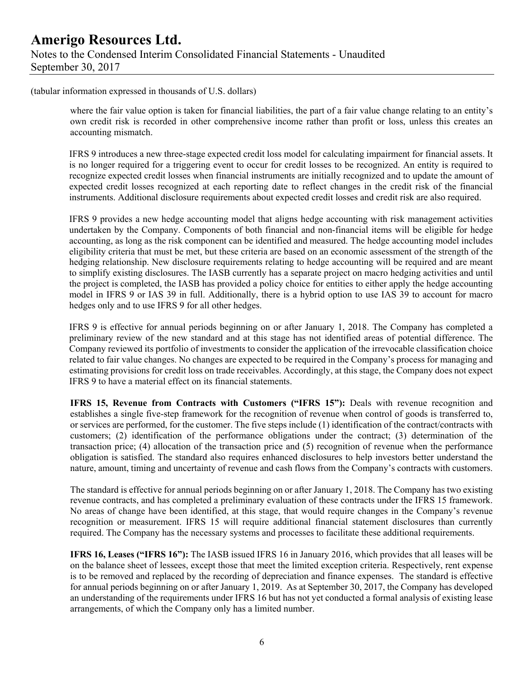(tabular information expressed in thousands of U.S. dollars)

where the fair value option is taken for financial liabilities, the part of a fair value change relating to an entity's own credit risk is recorded in other comprehensive income rather than profit or loss, unless this creates an accounting mismatch.

IFRS 9 introduces a new three-stage expected credit loss model for calculating impairment for financial assets. It is no longer required for a triggering event to occur for credit losses to be recognized. An entity is required to recognize expected credit losses when financial instruments are initially recognized and to update the amount of expected credit losses recognized at each reporting date to reflect changes in the credit risk of the financial instruments. Additional disclosure requirements about expected credit losses and credit risk are also required.

IFRS 9 provides a new hedge accounting model that aligns hedge accounting with risk management activities undertaken by the Company. Components of both financial and non-financial items will be eligible for hedge accounting, as long as the risk component can be identified and measured. The hedge accounting model includes eligibility criteria that must be met, but these criteria are based on an economic assessment of the strength of the hedging relationship. New disclosure requirements relating to hedge accounting will be required and are meant to simplify existing disclosures. The IASB currently has a separate project on macro hedging activities and until the project is completed, the IASB has provided a policy choice for entities to either apply the hedge accounting model in IFRS 9 or IAS 39 in full. Additionally, there is a hybrid option to use IAS 39 to account for macro hedges only and to use IFRS 9 for all other hedges.

IFRS 9 is effective for annual periods beginning on or after January 1, 2018. The Company has completed a preliminary review of the new standard and at this stage has not identified areas of potential difference. The Company reviewed its portfolio of investments to consider the application of the irrevocable classification choice related to fair value changes. No changes are expected to be required in the Company's process for managing and estimating provisions for credit loss on trade receivables. Accordingly, at this stage, the Company does not expect IFRS 9 to have a material effect on its financial statements.

**IFRS 15, Revenue from Contracts with Customers ("IFRS 15"):** Deals with revenue recognition and establishes a single five-step framework for the recognition of revenue when control of goods is transferred to, or services are performed, for the customer. The five steps include (1) identification of the contract/contracts with customers; (2) identification of the performance obligations under the contract; (3) determination of the transaction price; (4) allocation of the transaction price and (5) recognition of revenue when the performance obligation is satisfied. The standard also requires enhanced disclosures to help investors better understand the nature, amount, timing and uncertainty of revenue and cash flows from the Company's contracts with customers.

The standard is effective for annual periods beginning on or after January 1, 2018. The Company has two existing revenue contracts, and has completed a preliminary evaluation of these contracts under the IFRS 15 framework. No areas of change have been identified, at this stage, that would require changes in the Company's revenue recognition or measurement. IFRS 15 will require additional financial statement disclosures than currently required. The Company has the necessary systems and processes to facilitate these additional requirements.

**IFRS 16, Leases ("IFRS 16"):** The IASB issued IFRS 16 in January 2016, which provides that all leases will be on the balance sheet of lessees, except those that meet the limited exception criteria. Respectively, rent expense is to be removed and replaced by the recording of depreciation and finance expenses. The standard is effective for annual periods beginning on or after January 1, 2019. As at September 30, 2017, the Company has developed an understanding of the requirements under IFRS 16 but has not yet conducted a formal analysis of existing lease arrangements, of which the Company only has a limited number.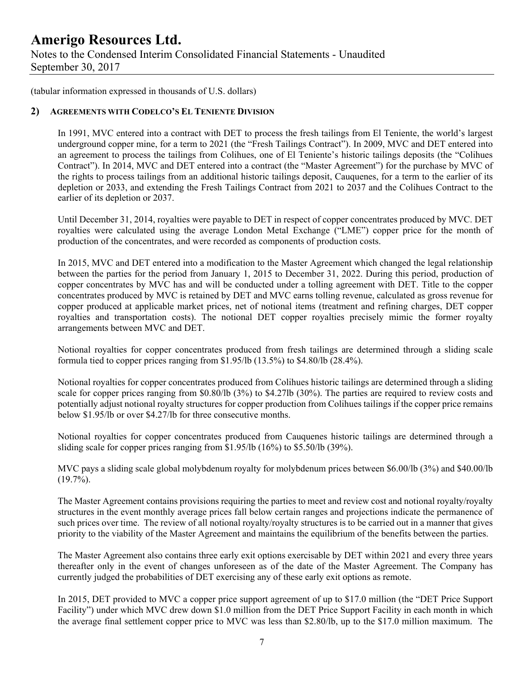Notes to the Condensed Interim Consolidated Financial Statements - Unaudited September 30, 2017

(tabular information expressed in thousands of U.S. dollars)

#### **2) AGREEMENTS WITH CODELCO'S EL TENIENTE DIVISION**

In 1991, MVC entered into a contract with DET to process the fresh tailings from El Teniente, the world's largest underground copper mine, for a term to 2021 (the "Fresh Tailings Contract"). In 2009, MVC and DET entered into an agreement to process the tailings from Colihues, one of El Teniente's historic tailings deposits (the "Colihues Contract"). In 2014, MVC and DET entered into a contract (the "Master Agreement") for the purchase by MVC of the rights to process tailings from an additional historic tailings deposit, Cauquenes, for a term to the earlier of its depletion or 2033, and extending the Fresh Tailings Contract from 2021 to 2037 and the Colihues Contract to the earlier of its depletion or 2037.

Until December 31, 2014, royalties were payable to DET in respect of copper concentrates produced by MVC. DET royalties were calculated using the average London Metal Exchange ("LME") copper price for the month of production of the concentrates, and were recorded as components of production costs.

In 2015, MVC and DET entered into a modification to the Master Agreement which changed the legal relationship between the parties for the period from January 1, 2015 to December 31, 2022. During this period, production of copper concentrates by MVC has and will be conducted under a tolling agreement with DET. Title to the copper concentrates produced by MVC is retained by DET and MVC earns tolling revenue, calculated as gross revenue for copper produced at applicable market prices, net of notional items (treatment and refining charges, DET copper royalties and transportation costs). The notional DET copper royalties precisely mimic the former royalty arrangements between MVC and DET.

Notional royalties for copper concentrates produced from fresh tailings are determined through a sliding scale formula tied to copper prices ranging from \$1.95/lb (13.5%) to \$4.80/lb (28.4%).

Notional royalties for copper concentrates produced from Colihues historic tailings are determined through a sliding scale for copper prices ranging from \$0.80/lb (3%) to \$4.27lb (30%). The parties are required to review costs and potentially adjust notional royalty structures for copper production from Colihues tailings if the copper price remains below \$1.95/lb or over \$4.27/lb for three consecutive months.

Notional royalties for copper concentrates produced from Cauquenes historic tailings are determined through a sliding scale for copper prices ranging from \$1.95/lb (16%) to \$5.50/lb (39%).

MVC pays a sliding scale global molybdenum royalty for molybdenum prices between \$6.00/lb (3%) and \$40.00/lb  $(19.7\%)$ .

The Master Agreement contains provisions requiring the parties to meet and review cost and notional royalty/royalty structures in the event monthly average prices fall below certain ranges and projections indicate the permanence of such prices over time. The review of all notional royalty/royalty structures is to be carried out in a manner that gives priority to the viability of the Master Agreement and maintains the equilibrium of the benefits between the parties.

The Master Agreement also contains three early exit options exercisable by DET within 2021 and every three years thereafter only in the event of changes unforeseen as of the date of the Master Agreement. The Company has currently judged the probabilities of DET exercising any of these early exit options as remote.

In 2015, DET provided to MVC a copper price support agreement of up to \$17.0 million (the "DET Price Support Facility") under which MVC drew down \$1.0 million from the DET Price Support Facility in each month in which the average final settlement copper price to MVC was less than \$2.80/lb, up to the \$17.0 million maximum. The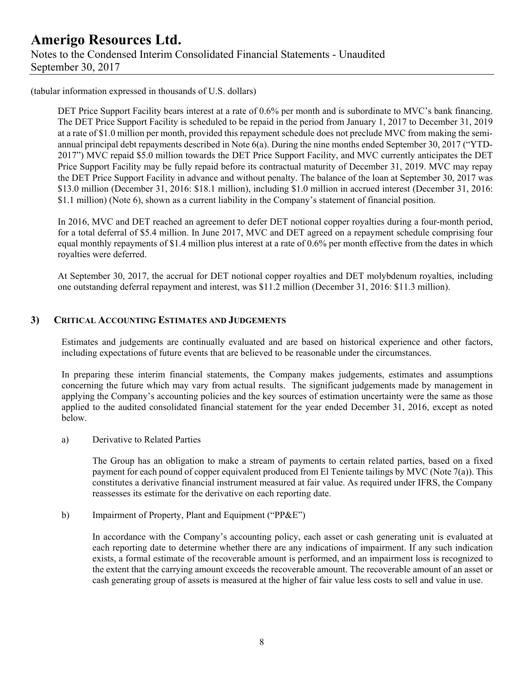## **Amerigo Resources Ltd.**  Notes to the Condensed Interim Consolidated Financial Statements - Unaudited September 30, 2017

(tabular information expressed in thousands of U.S. dollars)

DET Price Support Facility bears interest at a rate of 0.6% per month and is subordinate to MVC's bank financing. The DET Price Support Facility is scheduled to be repaid in the period from January 1, 2017 to December 31, 2019 at a rate of \$1.0 million per month, provided this repayment schedule does not preclude MVC from making the semiannual principal debt repayments described in Note 6(a). During the nine months ended September 30, 2017 ("YTD-2017") MVC repaid \$5.0 million towards the DET Price Support Facility, and MVC currently anticipates the DET Price Support Facility may be fully repaid before its contractual maturity of December 31, 2019. MVC may repay the DET Price Support Facility in advance and without penalty. The balance of the loan at September 30, 2017 was \$13.0 million (December 31, 2016: \$18.1 million), including \$1.0 million in accrued interest (December 31, 2016: \$1.1 million) (Note 6), shown as a current liability in the Company's statement of financial position.

In 2016, MVC and DET reached an agreement to defer DET notional copper royalties during a four-month period, for a total deferral of \$5.4 million. In June 2017, MVC and DET agreed on a repayment schedule comprising four equal monthly repayments of \$1.4 million plus interest at a rate of 0.6% per month effective from the dates in which royalties were deferred.

At September 30, 2017, the accrual for DET notional copper royalties and DET molybdenum royalties, including one outstanding deferral repayment and interest, was \$11.2 million (December 31, 2016: \$11.3 million).

### **3) CRITICAL ACCOUNTING ESTIMATES AND JUDGEMENTS**

Estimates and judgements are continually evaluated and are based on historical experience and other factors, including expectations of future events that are believed to be reasonable under the circumstances.

In preparing these interim financial statements, the Company makes judgements, estimates and assumptions concerning the future which may vary from actual results. The significant judgements made by management in applying the Company's accounting policies and the key sources of estimation uncertainty were the same as those applied to the audited consolidated financial statement for the year ended December 31, 2016, except as noted below.

a) Derivative to Related Parties

The Group has an obligation to make a stream of payments to certain related parties, based on a fixed payment for each pound of copper equivalent produced from El Teniente tailings by MVC (Note 7(a)). This constitutes a derivative financial instrument measured at fair value. As required under IFRS, the Company reassesses its estimate for the derivative on each reporting date.

b) Impairment of Property, Plant and Equipment ("PP&E")

In accordance with the Company's accounting policy, each asset or cash generating unit is evaluated at each reporting date to determine whether there are any indications of impairment. If any such indication exists, a formal estimate of the recoverable amount is performed, and an impairment loss is recognized to the extent that the carrying amount exceeds the recoverable amount. The recoverable amount of an asset or cash generating group of assets is measured at the higher of fair value less costs to sell and value in use.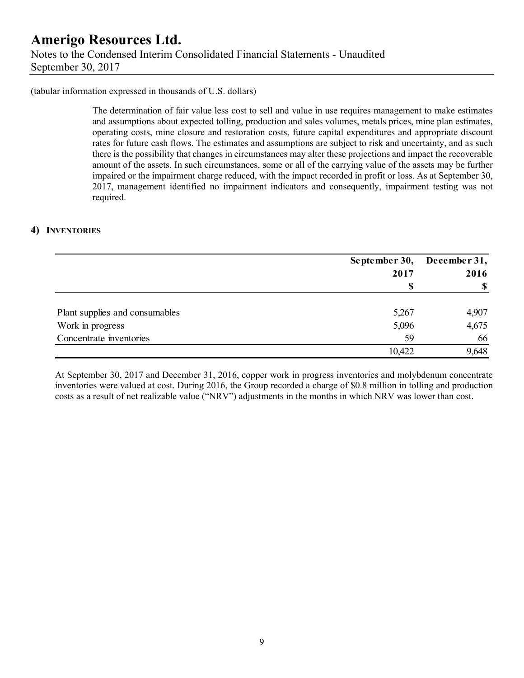## **Amerigo Resources Ltd.**  Notes to the Condensed Interim Consolidated Financial Statements - Unaudited September 30, 2017

#### (tabular information expressed in thousands of U.S. dollars)

The determination of fair value less cost to sell and value in use requires management to make estimates and assumptions about expected tolling, production and sales volumes, metals prices, mine plan estimates, operating costs, mine closure and restoration costs, future capital expenditures and appropriate discount rates for future cash flows. The estimates and assumptions are subject to risk and uncertainty, and as such there is the possibility that changes in circumstances may alter these projections and impact the recoverable amount of the assets. In such circumstances, some or all of the carrying value of the assets may be further impaired or the impairment charge reduced, with the impact recorded in profit or loss. As at September 30, 2017, management identified no impairment indicators and consequently, impairment testing was not required.

#### **4) INVENTORIES**

|                                |        | September 30, December 31, |
|--------------------------------|--------|----------------------------|
|                                | 2017   | 2016                       |
|                                |        | <sup>\$</sup>              |
| Plant supplies and consumables | 5,267  | 4,907                      |
| Work in progress               | 5,096  | 4,675                      |
| Concentrate inventories        | 59     | 66                         |
|                                | 10,422 | 9,648                      |

At September 30, 2017 and December 31, 2016, copper work in progress inventories and molybdenum concentrate inventories were valued at cost. During 2016, the Group recorded a charge of \$0.8 million in tolling and production costs as a result of net realizable value ("NRV") adjustments in the months in which NRV was lower than cost.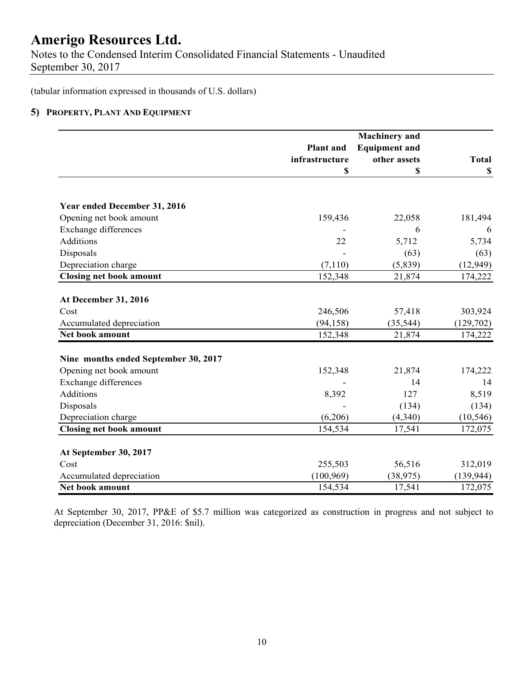Notes to the Condensed Interim Consolidated Financial Statements - Unaudited September 30, 2017

(tabular information expressed in thousands of U.S. dollars)

### **5) PROPERTY, PLANT AND EQUIPMENT**

|                                      |                  | <b>Machinery</b> and |              |
|--------------------------------------|------------------|----------------------|--------------|
|                                      | <b>Plant</b> and | <b>Equipment and</b> |              |
|                                      | infrastructure   | other assets         | <b>Total</b> |
|                                      | S                | S                    | \$           |
|                                      |                  |                      |              |
| Year ended December 31, 2016         |                  |                      |              |
| Opening net book amount              | 159,436          | 22,058               | 181,494      |
| <b>Exchange differences</b>          |                  | 6                    | 6            |
| Additions                            | 22               | 5,712                | 5,734        |
| Disposals                            |                  | (63)                 | (63)         |
| Depreciation charge                  | (7, 110)         | (5,839)              | (12, 949)    |
| <b>Closing net book amount</b>       | 152,348          | 21,874               | 174,222      |
|                                      |                  |                      |              |
| At December 31, 2016                 |                  |                      |              |
| Cost                                 | 246,506          | 57,418               | 303,924      |
| Accumulated depreciation             | (94, 158)        | (35, 544)            | (129,702)    |
| Net book amount                      | 152,348          | 21,874               | 174,222      |
| Nine months ended September 30, 2017 |                  |                      |              |
| Opening net book amount              | 152,348          | 21,874               | 174,222      |
| <b>Exchange differences</b>          |                  | 14                   | 14           |
| Additions                            | 8,392            | 127                  | 8,519        |
| Disposals                            |                  | (134)                | (134)        |
| Depreciation charge                  | (6,206)          | (4,340)              | (10, 546)    |
| <b>Closing net book amount</b>       | 154,534          | 17,541               | 172,075      |
| At September 30, 2017                |                  |                      |              |
| Cost                                 | 255,503          | 56,516               | 312,019      |
| Accumulated depreciation             | (100, 969)       | (38, 975)            | (139, 944)   |
| Net book amount                      | 154,534          | 17,541               | 172,075      |
|                                      |                  |                      |              |

At September 30, 2017, PP&E of \$5.7 million was categorized as construction in progress and not subject to depreciation (December 31, 2016: \$nil).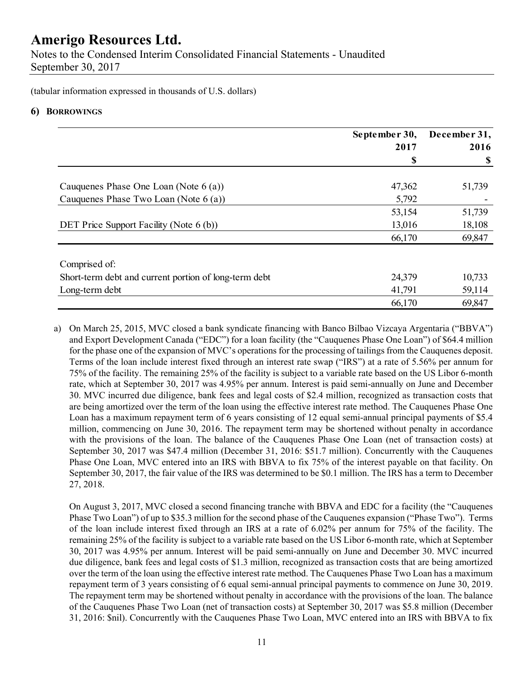Notes to the Condensed Interim Consolidated Financial Statements - Unaudited September 30, 2017

(tabular information expressed in thousands of U.S. dollars)

### **6) BORROWINGS**

|                                                       | September 30, | December 31, |
|-------------------------------------------------------|---------------|--------------|
|                                                       | 2017          | 2016         |
|                                                       | S             | -S           |
|                                                       |               |              |
| Cauquenes Phase One Loan (Note $6(a)$ )               | 47,362        | 51,739       |
| Cauquenes Phase Two Loan (Note 6 (a))                 | 5,792         |              |
|                                                       | 53,154        | 51,739       |
| DET Price Support Facility (Note 6 (b))               | 13,016        | 18,108       |
|                                                       | 66,170        | 69,847       |
| Comprised of:                                         |               |              |
| Short-term debt and current portion of long-term debt | 24,379        | 10,733       |
| Long-term debt                                        | 41,791        | 59,114       |
|                                                       | 66,170        | 69,847       |

a) On March 25, 2015, MVC closed a bank syndicate financing with Banco Bilbao Vizcaya Argentaria ("BBVA") and Export Development Canada ("EDC") for a loan facility (the "Cauquenes Phase One Loan") of \$64.4 million for the phase one of the expansion of MVC's operations for the processing of tailings from the Cauquenes deposit. Terms of the loan include interest fixed through an interest rate swap ("IRS") at a rate of 5.56% per annum for 75% of the facility. The remaining 25% of the facility is subject to a variable rate based on the US Libor 6-month rate, which at September 30, 2017 was 4.95% per annum. Interest is paid semi-annually on June and December 30. MVC incurred due diligence, bank fees and legal costs of \$2.4 million, recognized as transaction costs that are being amortized over the term of the loan using the effective interest rate method. The Cauquenes Phase One Loan has a maximum repayment term of 6 years consisting of 12 equal semi-annual principal payments of \$5.4 million, commencing on June 30, 2016. The repayment term may be shortened without penalty in accordance with the provisions of the loan. The balance of the Cauquenes Phase One Loan (net of transaction costs) at September 30, 2017 was \$47.4 million (December 31, 2016: \$51.7 million). Concurrently with the Cauquenes Phase One Loan, MVC entered into an IRS with BBVA to fix 75% of the interest payable on that facility. On September 30, 2017, the fair value of the IRS was determined to be \$0.1 million. The IRS has a term to December 27, 2018.

On August 3, 2017, MVC closed a second financing tranche with BBVA and EDC for a facility (the "Cauquenes Phase Two Loan") of up to \$35.3 million for the second phase of the Cauquenes expansion ("Phase Two"). Terms of the loan include interest fixed through an IRS at a rate of 6.02% per annum for 75% of the facility. The remaining 25% of the facility is subject to a variable rate based on the US Libor 6-month rate, which at September 30, 2017 was 4.95% per annum. Interest will be paid semi-annually on June and December 30. MVC incurred due diligence, bank fees and legal costs of \$1.3 million, recognized as transaction costs that are being amortized over the term of the loan using the effective interest rate method. The Cauquenes Phase Two Loan has a maximum repayment term of 3 years consisting of 6 equal semi-annual principal payments to commence on June 30, 2019. The repayment term may be shortened without penalty in accordance with the provisions of the loan. The balance of the Cauquenes Phase Two Loan (net of transaction costs) at September 30, 2017 was \$5.8 million (December 31, 2016: \$nil). Concurrently with the Cauquenes Phase Two Loan, MVC entered into an IRS with BBVA to fix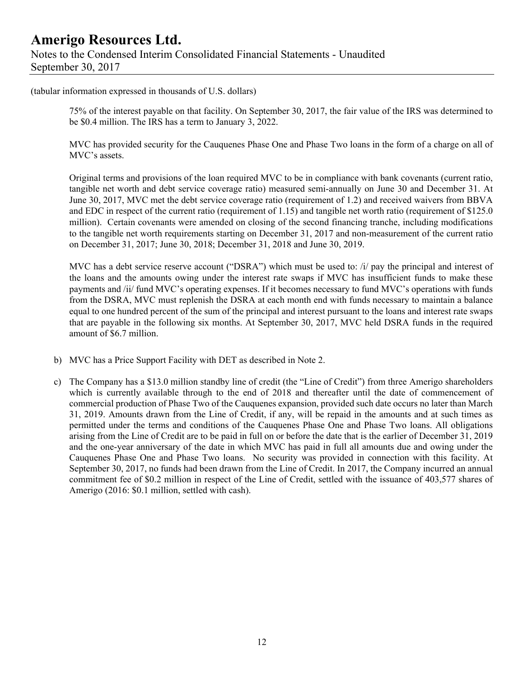(tabular information expressed in thousands of U.S. dollars)

75% of the interest payable on that facility. On September 30, 2017, the fair value of the IRS was determined to be \$0.4 million. The IRS has a term to January 3, 2022.

MVC has provided security for the Cauquenes Phase One and Phase Two loans in the form of a charge on all of MVC's assets.

Original terms and provisions of the loan required MVC to be in compliance with bank covenants (current ratio, tangible net worth and debt service coverage ratio) measured semi-annually on June 30 and December 31. At June 30, 2017, MVC met the debt service coverage ratio (requirement of 1.2) and received waivers from BBVA and EDC in respect of the current ratio (requirement of 1.15) and tangible net worth ratio (requirement of \$125.0 million). Certain covenants were amended on closing of the second financing tranche, including modifications to the tangible net worth requirements starting on December 31, 2017 and non-measurement of the current ratio on December 31, 2017; June 30, 2018; December 31, 2018 and June 30, 2019.

MVC has a debt service reserve account ("DSRA") which must be used to:  $\hat{i}$  pay the principal and interest of the loans and the amounts owing under the interest rate swaps if MVC has insufficient funds to make these payments and /ii/ fund MVC's operating expenses. If it becomes necessary to fund MVC's operations with funds from the DSRA, MVC must replenish the DSRA at each month end with funds necessary to maintain a balance equal to one hundred percent of the sum of the principal and interest pursuant to the loans and interest rate swaps that are payable in the following six months. At September 30, 2017, MVC held DSRA funds in the required amount of \$6.7 million.

- b) MVC has a Price Support Facility with DET as described in Note 2.
- c) The Company has a \$13.0 million standby line of credit (the "Line of Credit") from three Amerigo shareholders which is currently available through to the end of 2018 and thereafter until the date of commencement of commercial production of Phase Two of the Cauquenes expansion, provided such date occurs no later than March 31, 2019. Amounts drawn from the Line of Credit, if any, will be repaid in the amounts and at such times as permitted under the terms and conditions of the Cauquenes Phase One and Phase Two loans. All obligations arising from the Line of Credit are to be paid in full on or before the date that is the earlier of December 31, 2019 and the one-year anniversary of the date in which MVC has paid in full all amounts due and owing under the Cauquenes Phase One and Phase Two loans. No security was provided in connection with this facility. At September 30, 2017, no funds had been drawn from the Line of Credit. In 2017, the Company incurred an annual commitment fee of \$0.2 million in respect of the Line of Credit, settled with the issuance of 403,577 shares of Amerigo (2016: \$0.1 million, settled with cash).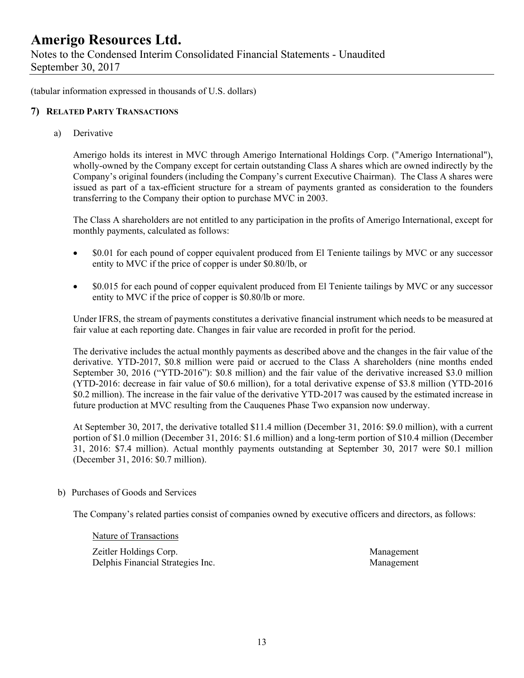Notes to the Condensed Interim Consolidated Financial Statements - Unaudited September 30, 2017

(tabular information expressed in thousands of U.S. dollars)

#### **7) RELATED PARTY TRANSACTIONS**

a) Derivative

Amerigo holds its interest in MVC through Amerigo International Holdings Corp. ("Amerigo International"), wholly-owned by the Company except for certain outstanding Class A shares which are owned indirectly by the Company's original founders (including the Company's current Executive Chairman). The Class A shares were issued as part of a tax-efficient structure for a stream of payments granted as consideration to the founders transferring to the Company their option to purchase MVC in 2003.

The Class A shareholders are not entitled to any participation in the profits of Amerigo International, except for monthly payments, calculated as follows:

- \$0.01 for each pound of copper equivalent produced from El Teniente tailings by MVC or any successor entity to MVC if the price of copper is under \$0.80/lb, or
- \$0.015 for each pound of copper equivalent produced from El Teniente tailings by MVC or any successor entity to MVC if the price of copper is \$0.80/lb or more.

Under IFRS, the stream of payments constitutes a derivative financial instrument which needs to be measured at fair value at each reporting date. Changes in fair value are recorded in profit for the period.

The derivative includes the actual monthly payments as described above and the changes in the fair value of the derivative. YTD-2017, \$0.8 million were paid or accrued to the Class A shareholders (nine months ended September 30, 2016 ("YTD-2016"): \$0.8 million) and the fair value of the derivative increased \$3.0 million (YTD-2016: decrease in fair value of \$0.6 million), for a total derivative expense of \$3.8 million (YTD-2016 \$0.2 million). The increase in the fair value of the derivative YTD-2017 was caused by the estimated increase in future production at MVC resulting from the Cauquenes Phase Two expansion now underway.

At September 30, 2017, the derivative totalled \$11.4 million (December 31, 2016: \$9.0 million), with a current portion of \$1.0 million (December 31, 2016: \$1.6 million) and a long-term portion of \$10.4 million (December 31, 2016: \$7.4 million). Actual monthly payments outstanding at September 30, 2017 were \$0.1 million (December 31, 2016: \$0.7 million).

b) Purchases of Goods and Services

The Company's related parties consist of companies owned by executive officers and directors, as follows:

Nature of Transactions

 Zeitler Holdings Corp. Management Delphis Financial Strategies Inc. Management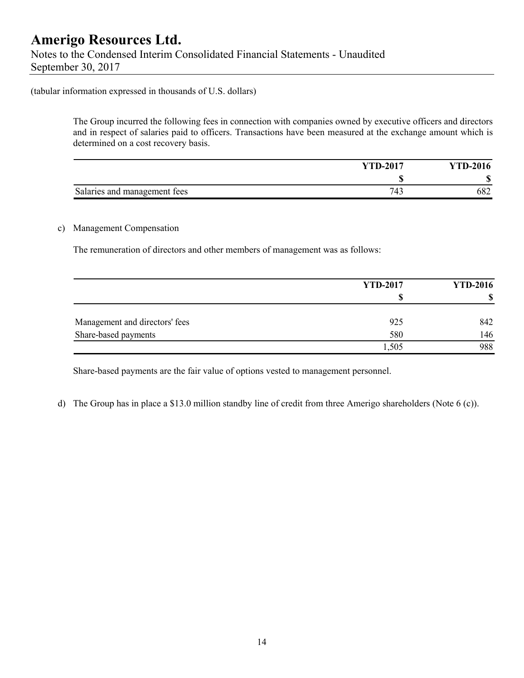#### (tabular information expressed in thousands of U.S. dollars)

The Group incurred the following fees in connection with companies owned by executive officers and directors and in respect of salaries paid to officers. Transactions have been measured at the exchange amount which is determined on a cost recovery basis.

|                              | <b>YTD-2017</b> | <b>YTD-2016</b> |
|------------------------------|-----------------|-----------------|
|                              |                 | Л.<br>۱D        |
| Salaries and management fees | 74.<br>42       | 682             |

#### c) Management Compensation

The remuneration of directors and other members of management was as follows:

|                                | <b>YTD-2017</b> | <b>YTD-2016</b> |  |
|--------------------------------|-----------------|-----------------|--|
|                                | S               |                 |  |
| Management and directors' fees | 925             | 842             |  |
| Share-based payments           | 580             | 146             |  |
|                                | 1,505           | 988             |  |

Share-based payments are the fair value of options vested to management personnel.

d) The Group has in place a \$13.0 million standby line of credit from three Amerigo shareholders (Note 6 (c)).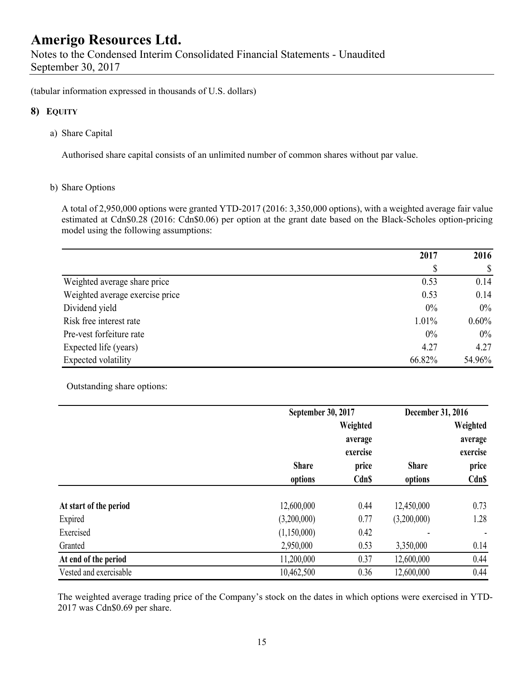(tabular information expressed in thousands of U.S. dollars)

### **8) EQUITY**

a) Share Capital

Authorised share capital consists of an unlimited number of common shares without par value.

#### b) Share Options

A total of 2,950,000 options were granted YTD-2017 (2016: 3,350,000 options), with a weighted average fair value estimated at Cdn\$0.28 (2016: Cdn\$0.06) per option at the grant date based on the Black-Scholes option-pricing model using the following assumptions:

|                                 | 2017   | 2016     |
|---------------------------------|--------|----------|
|                                 | \$     | S        |
| Weighted average share price    | 0.53   | 0.14     |
| Weighted average exercise price | 0.53   | 0.14     |
| Dividend yield                  | 0%     | $0\%$    |
| Risk free interest rate         | 1.01%  | $0.60\%$ |
| Pre-vest forfeiture rate        | $0\%$  | $0\%$    |
| Expected life (years)           | 4.27   | 4.27     |
| Expected volatility             | 66.82% | 54.96%   |

Outstanding share options:

|                        |                         | September 30, 2017                |                         | December 31, 2016                 |
|------------------------|-------------------------|-----------------------------------|-------------------------|-----------------------------------|
|                        |                         | Weighted<br>average               |                         | Weighted<br>average               |
|                        | <b>Share</b><br>options | exercise<br>price<br><b>Cdn\$</b> | <b>Share</b><br>options | exercise<br>price<br><b>Cdn\$</b> |
| At start of the period | 12,600,000              | 0.44                              | 12,450,000              | 0.73                              |
| Expired                | (3,200,000)             | 0.77                              | (3,200,000)             | 1.28                              |
| Exercised              | (1,150,000)             | 0.42                              |                         |                                   |
| Granted                | 2,950,000               | 0.53                              | 3,350,000               | 0.14                              |
| At end of the period   | 11,200,000              | 0.37                              | 12,600,000              | 0.44                              |
| Vested and exercisable | 10,462,500              | 0.36                              | 12,600,000              | 0.44                              |

The weighted average trading price of the Company's stock on the dates in which options were exercised in YTD-2017 was Cdn\$0.69 per share.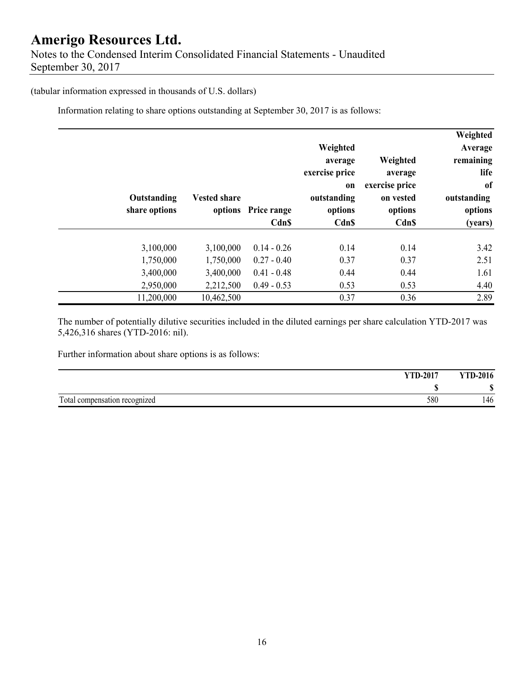## **Amerigo Resources Ltd.**  Notes to the Condensed Interim Consolidated Financial Statements - Unaudited September 30, 2017

#### (tabular information expressed in thousands of U.S. dollars)

Information relating to share options outstanding at September 30, 2017 is as follows:

| Weighted<br>Average<br>remaining<br>life<br><sub>of</sub><br>outstanding<br>options<br>(years) | Weighted<br>average<br>exercise price<br>on vested<br>options<br><b>Cdn\$</b> | Weighted<br>average<br>exercise price<br>on<br>outstanding<br>options<br>Cdn\$ | Price range<br>Cdn\$ | <b>Vested share</b><br>options | Outstanding<br>share options |  |
|------------------------------------------------------------------------------------------------|-------------------------------------------------------------------------------|--------------------------------------------------------------------------------|----------------------|--------------------------------|------------------------------|--|
| 3.42                                                                                           | 0.14                                                                          | 0.14                                                                           | $0.14 - 0.26$        | 3,100,000                      | 3,100,000                    |  |
| 2.51                                                                                           | 0.37                                                                          | 0.37                                                                           | $0.27 - 0.40$        | 1,750,000                      | 1,750,000                    |  |
| 1.61                                                                                           | 0.44                                                                          | 0.44                                                                           | $0.41 - 0.48$        | 3,400,000                      | 3,400,000                    |  |
| 4.40                                                                                           | 0.53                                                                          | 0.53                                                                           | $0.49 - 0.53$        | 2,212,500                      | 2,950,000                    |  |
| 2.89                                                                                           | 0.36                                                                          | 0.37                                                                           |                      | 10,462,500                     | 11,200,000                   |  |

The number of potentially dilutive securities included in the diluted earnings per share calculation YTD-2017 was 5,426,316 shares (YTD-2016: nil).

Further information about share options is as follows:

| <b>YTD-2017</b>                  |     | VTD<br>$J - 2016$ |
|----------------------------------|-----|-------------------|
|                                  |     | ጦ<br>۱D           |
| Total<br>compensation recognized | 580 | 146               |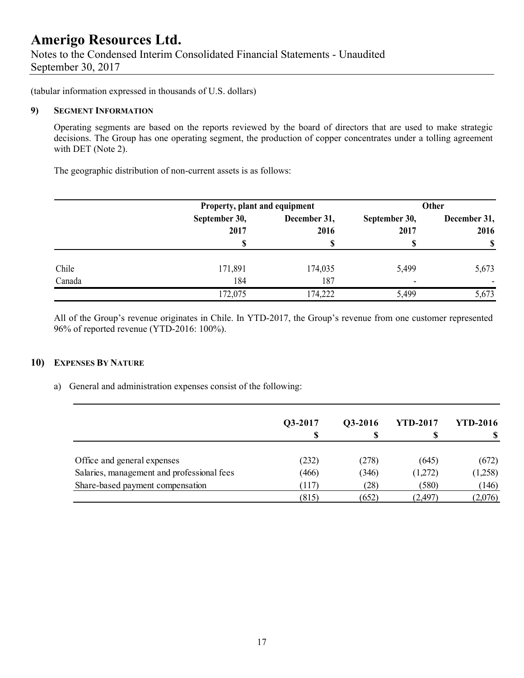(tabular information expressed in thousands of U.S. dollars)

#### **9) SEGMENT INFORMATION**

Operating segments are based on the reports reviewed by the board of directors that are used to make strategic decisions. The Group has one operating segment, the production of copper concentrates under a tolling agreement with DET (Note 2).

The geographic distribution of non-current assets is as follows:

|        | Property, plant and equipment |                      |                       | <b>Other</b>         |
|--------|-------------------------------|----------------------|-----------------------|----------------------|
|        | September 30,<br>2017         | December 31,<br>2016 | September 30,<br>2017 | December 31,<br>2016 |
|        | S                             |                      |                       | <sup>\$</sup>        |
| Chile  | 171,891                       | 174,035              | 5,499                 | 5,673                |
| Canada | 184                           | 187                  | -                     |                      |
|        | 172,075                       | 174,222              | 5,499                 | 5,673                |

All of the Group's revenue originates in Chile. In YTD-2017, the Group's revenue from one customer represented 96% of reported revenue (YTD-2016: 100%).

### **10) EXPENSES BY NATURE**

a) General and administration expenses consist of the following:

|                                            | Q3-2017 | Q3-2016 | <b>YTD-2017</b> | <b>YTD-2016</b> |
|--------------------------------------------|---------|---------|-----------------|-----------------|
|                                            | S       |         |                 |                 |
| Office and general expenses                | (232)   | (278)   | (645)           | (672)           |
| Salaries, management and professional fees | (466)   | (346)   | (1,272)         | (1,258)         |
| Share-based payment compensation           | (117)   | (28)    | (580)           | (146)           |
|                                            | (815)   | (652)   | (2,497)         | (2,076)         |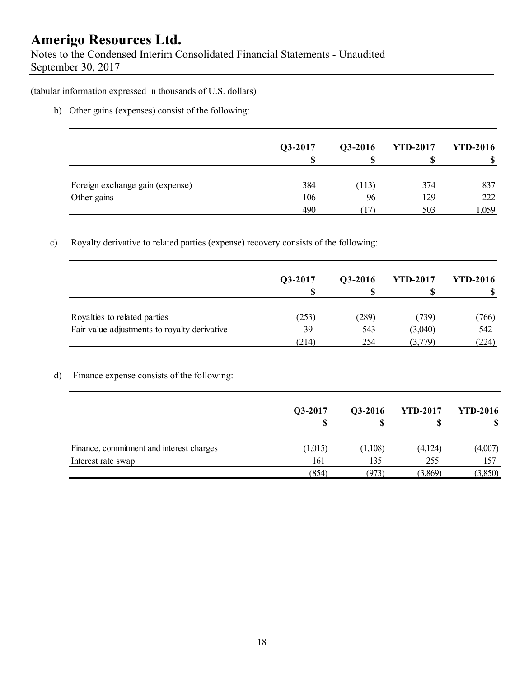Notes to the Condensed Interim Consolidated Financial Statements - Unaudited September 30, 2017

(tabular information expressed in thousands of U.S. dollars)

b) Other gains (expenses) consist of the following:

|                                 | Q3-2017 | Q3-2016 | <b>YTD-2017</b> | <b>YTD-2016</b> |
|---------------------------------|---------|---------|-----------------|-----------------|
| Foreign exchange gain (expense) | 384     | (113)   | 374             | 837             |
| Other gains                     | 106     | 96      | 129             | 222             |
|                                 | 490     |         | 503             | .,059           |

### c) Royalty derivative to related parties (expense) recovery consists of the following:

|                                              | Q3-2017 | Q3-2016 | <b>YTD-2017</b> | <b>YTD-2016</b> |
|----------------------------------------------|---------|---------|-----------------|-----------------|
| Royalties to related parties                 | (253)   | (289)   | (739)           | (766)           |
| Fair value adjustments to royalty derivative | 39      | 543     | (3,040)         | 542             |
|                                              | (214)   | 254     | (3,779)         | (224)           |

### d) Finance expense consists of the following:

|                                          | Q3-2017 | Q3-2016<br>S | <b>YTD-2017</b> | <b>YTD-2016</b> |
|------------------------------------------|---------|--------------|-----------------|-----------------|
| Finance, commitment and interest charges | (1,015) | (1,108)      | (4,124)         | (4,007)         |
| Interest rate swap                       | 161     | 135          | 255             | 157             |
|                                          | (854)   | (973)        | (3,869)         | (3,850)         |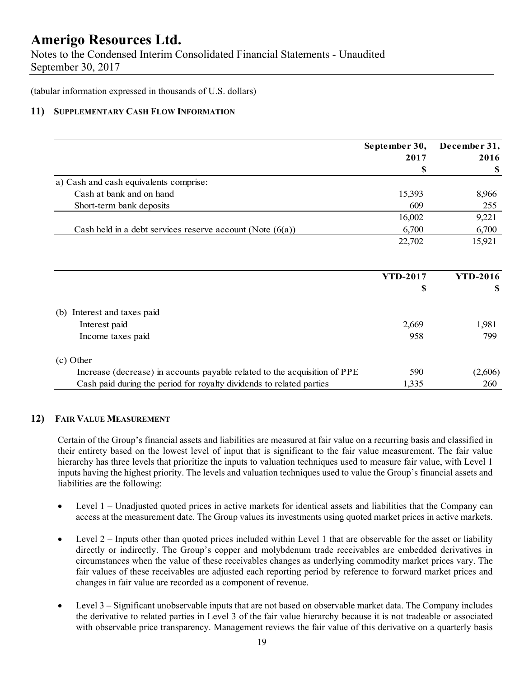Notes to the Condensed Interim Consolidated Financial Statements - Unaudited September 30, 2017

(tabular information expressed in thousands of U.S. dollars)

#### **11) SUPPLEMENTARY CASH FLOW INFORMATION**

|                                                                           | September 30,   | December 31,    |
|---------------------------------------------------------------------------|-----------------|-----------------|
|                                                                           | 2017            | 2016            |
|                                                                           | \$              | \$              |
| a) Cash and cash equivalents comprise:                                    |                 |                 |
| Cash at bank and on hand                                                  | 15,393          | 8,966           |
| Short-term bank deposits                                                  | 609             | 255             |
|                                                                           | 16,002          | 9,221           |
| Cash held in a debt services reserve account (Note $(6(a))$               | 6,700           | 6,700           |
|                                                                           | 22,702          | 15,921          |
|                                                                           |                 |                 |
|                                                                           | <b>YTD-2017</b> | <b>YTD-2016</b> |
|                                                                           | \$              | \$              |
| Interest and taxes paid<br>(b)                                            |                 |                 |
| Interest paid                                                             | 2,669           | 1,981           |
| Income taxes paid                                                         | 958             | 799             |
| (c) Other                                                                 |                 |                 |
| Increase (decrease) in accounts payable related to the acquisition of PPE | 590             | (2,606)         |
| Cash paid during the period for royalty dividends to related parties      | 1,335           | 260             |

#### **12) FAIR VALUE MEASUREMENT**

Certain of the Group's financial assets and liabilities are measured at fair value on a recurring basis and classified in their entirety based on the lowest level of input that is significant to the fair value measurement. The fair value hierarchy has three levels that prioritize the inputs to valuation techniques used to measure fair value, with Level 1 inputs having the highest priority. The levels and valuation techniques used to value the Group's financial assets and liabilities are the following:

- Level 1 Unadjusted quoted prices in active markets for identical assets and liabilities that the Company can access at the measurement date. The Group values its investments using quoted market prices in active markets.
- $\bullet$  Level 2 Inputs other than quoted prices included within Level 1 that are observable for the asset or liability directly or indirectly. The Group's copper and molybdenum trade receivables are embedded derivatives in circumstances when the value of these receivables changes as underlying commodity market prices vary. The fair values of these receivables are adjusted each reporting period by reference to forward market prices and changes in fair value are recorded as a component of revenue.
- Level 3 Significant unobservable inputs that are not based on observable market data. The Company includes the derivative to related parties in Level 3 of the fair value hierarchy because it is not tradeable or associated with observable price transparency. Management reviews the fair value of this derivative on a quarterly basis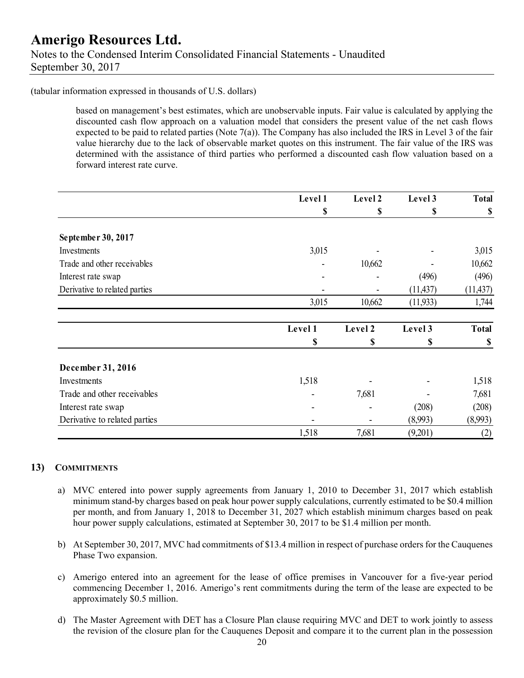(tabular information expressed in thousands of U.S. dollars)

based on management's best estimates, which are unobservable inputs. Fair value is calculated by applying the discounted cash flow approach on a valuation model that considers the present value of the net cash flows expected to be paid to related parties (Note 7(a)). The Company has also included the IRS in Level 3 of the fair value hierarchy due to the lack of observable market quotes on this instrument. The fair value of the IRS was determined with the assistance of third parties who performed a discounted cash flow valuation based on a forward interest rate curve.

|                               | Level 1 | Level 2 | Level 3   | <b>Total</b> |
|-------------------------------|---------|---------|-----------|--------------|
|                               | \$      | \$      | \$        | \$           |
| September 30, 2017            |         |         |           |              |
| Investments                   | 3,015   |         |           | 3,015        |
| Trade and other receivables   |         | 10,662  |           | 10,662       |
| Interest rate swap            |         |         | (496)     | (496)        |
| Derivative to related parties |         |         | (11, 437) | (11, 437)    |
|                               | 3,015   | 10,662  | (11, 933) | 1,744        |
|                               | Level 1 | Level 2 | Level 3   | <b>Total</b> |
|                               | \$      | \$      | S         | \$           |
| December 31, 2016             |         |         |           |              |
| Investments                   | 1,518   |         |           | 1,518        |
| Trade and other receivables   |         | 7,681   |           | 7,681        |
| Interest rate swap            |         |         | (208)     | (208)        |
| Derivative to related parties |         |         | (8,993)   | (8,993)      |
|                               | 1,518   | 7,681   | (9,201)   | (2)          |

#### **13) COMMITMENTS**

- a) MVC entered into power supply agreements from January 1, 2010 to December 31, 2017 which establish minimum stand-by charges based on peak hour power supply calculations, currently estimated to be \$0.4 million per month, and from January 1, 2018 to December 31, 2027 which establish minimum charges based on peak hour power supply calculations, estimated at September 30, 2017 to be \$1.4 million per month.
- b) At September 30, 2017, MVC had commitments of \$13.4 million in respect of purchase orders for the Cauquenes Phase Two expansion.
- c) Amerigo entered into an agreement for the lease of office premises in Vancouver for a five-year period commencing December 1, 2016. Amerigo's rent commitments during the term of the lease are expected to be approximately \$0.5 million.
- d) The Master Agreement with DET has a Closure Plan clause requiring MVC and DET to work jointly to assess the revision of the closure plan for the Cauquenes Deposit and compare it to the current plan in the possession